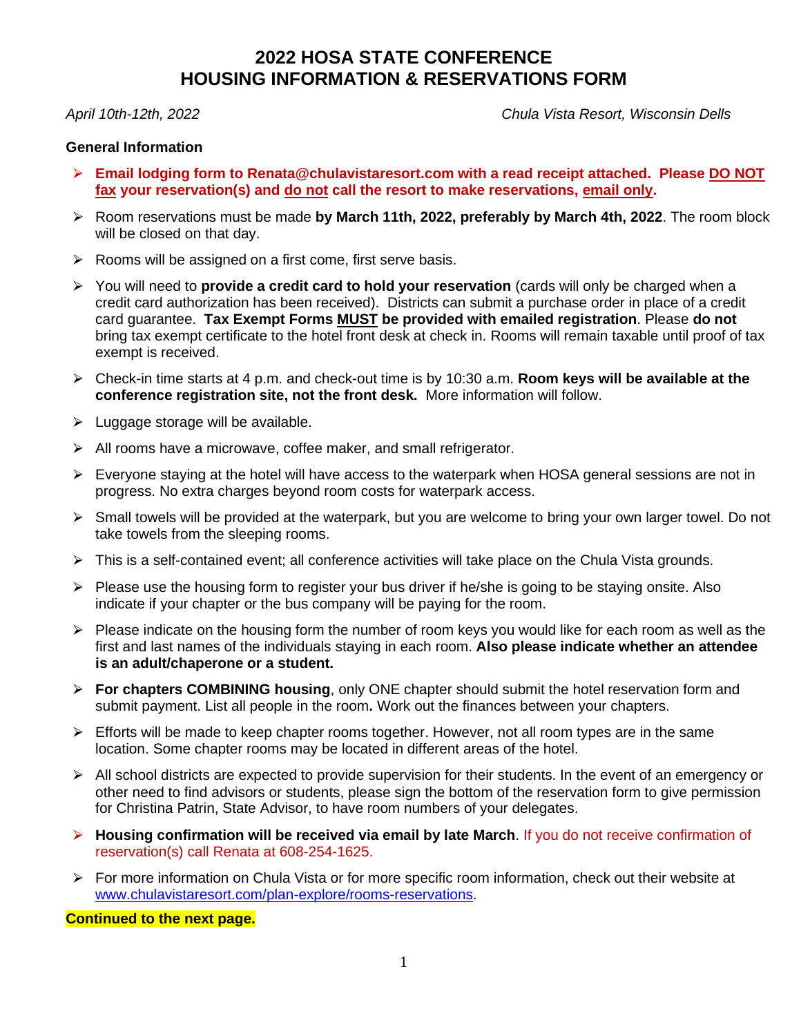## **2022 HOSA STATE CONFERENCE HOUSING INFORMATION & RESERVATIONS FORM**

*April 10th-12th, 2022 Chula Vista Resort, Wisconsin Dells*

#### **General Information**

- ⮚ **Email lodging form to Renata@chulavistaresort.com with a read receipt attached. Please DO NOT fax your reservation(s) and do not call the resort to make reservations, email only.**
- ⮚ Room reservations must be made **by March 11th, 2022, preferably by March 4th, 2022**. The room block will be closed on that day.
- $\triangleright$  Rooms will be assigned on a first come, first serve basis.
- ⮚ You will need to **provide a credit card to hold your reservation** (cards will only be charged when a credit card authorization has been received). Districts can submit a purchase order in place of a credit card guarantee. **Tax Exempt Forms MUST be provided with emailed registration**. Please **do not** bring tax exempt certificate to the hotel front desk at check in. Rooms will remain taxable until proof of tax exempt is received.
- ⮚ Check-in time starts at 4 p.m. and check-out time is by 10:30 a.m. **Room keys will be available at the conference registration site, not the front desk.** More information will follow.
- $\triangleright$  Luggage storage will be available.
- $\triangleright$  All rooms have a microwave, coffee maker, and small refrigerator.
- ⮚ Everyone staying at the hotel will have access to the waterpark when HOSA general sessions are not in progress. No extra charges beyond room costs for waterpark access.
- $\triangleright$  Small towels will be provided at the waterpark, but you are welcome to bring your own larger towel. Do not take towels from the sleeping rooms.
- > This is a self-contained event; all conference activities will take place on the Chula Vista grounds.
- $\triangleright$  Please use the housing form to register your bus driver if he/she is going to be staying onsite. Also indicate if your chapter or the bus company will be paying for the room.
- $\triangleright$  Please indicate on the housing form the number of room keys you would like for each room as well as the first and last names of the individuals staying in each room. **Also please indicate whether an attendee is an adult/chaperone or a student.**
- ⮚ **For chapters COMBINING housing**, only ONE chapter should submit the hotel reservation form and submit payment. List all people in the room**.** Work out the finances between your chapters.
- $\triangleright$  Efforts will be made to keep chapter rooms together. However, not all room types are in the same location. Some chapter rooms may be located in different areas of the hotel.
- ▶ All school districts are expected to provide supervision for their students. In the event of an emergency or other need to find advisors or students, please sign the bottom of the reservation form to give permission for Christina Patrin, State Advisor, to have room numbers of your delegates.
- ⮚ **Housing confirmation will be received via email by late March**. If you do not receive confirmation of reservation(s) call Renata at 608-254-1625.
- ▶ For more information on Chula Vista or for more specific room information, check out their website at [www.chulavistaresort.com/plan-explore/rooms-reservations.](http://www.chulavistaresort.com/plan-explore/rooms-reservations)

**Continued to the next page.**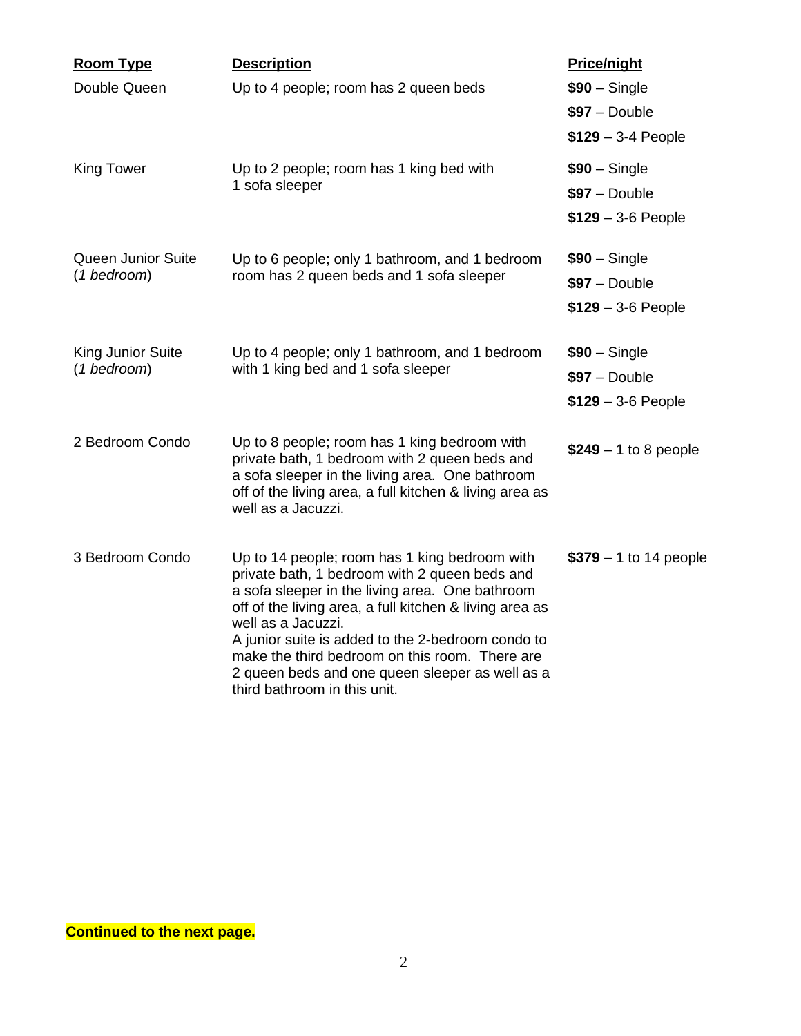| <b>Room Type</b>                 | <b>Description</b>                                                                                                                                                                                                                                                                      | <b>Price/night</b>               |
|----------------------------------|-----------------------------------------------------------------------------------------------------------------------------------------------------------------------------------------------------------------------------------------------------------------------------------------|----------------------------------|
| Double Queen                     | Up to 4 people; room has 2 queen beds                                                                                                                                                                                                                                                   | $$90 - Single$<br>$$97 - Double$ |
|                                  |                                                                                                                                                                                                                                                                                         | $$129 - 3-4$ People              |
| <b>King Tower</b>                | Up to 2 people; room has 1 king bed with<br>1 sofa sleeper                                                                                                                                                                                                                              | $$90 - Single$                   |
|                                  |                                                                                                                                                                                                                                                                                         | $$97 - Double$                   |
|                                  |                                                                                                                                                                                                                                                                                         | $$129 - 3.6$ People              |
| <b>Queen Junior Suite</b>        | Up to 6 people; only 1 bathroom, and 1 bedroom                                                                                                                                                                                                                                          | $$90 - Single$                   |
| (1 bedroom)                      | room has 2 queen beds and 1 sofa sleeper                                                                                                                                                                                                                                                | $$97 - Double$                   |
|                                  |                                                                                                                                                                                                                                                                                         | $$129 - 3.6$ People              |
| King Junior Suite<br>(1 bedroom) | Up to 4 people; only 1 bathroom, and 1 bedroom                                                                                                                                                                                                                                          | $$90 - Single$                   |
|                                  | with 1 king bed and 1 sofa sleeper                                                                                                                                                                                                                                                      | $$97 - Double$                   |
|                                  |                                                                                                                                                                                                                                                                                         | $$129 - 3.6$ People              |
| 2 Bedroom Condo                  | Up to 8 people; room has 1 king bedroom with<br>private bath, 1 bedroom with 2 queen beds and                                                                                                                                                                                           | $$249 - 1$ to 8 people           |
|                                  | a sofa sleeper in the living area. One bathroom<br>off of the living area, a full kitchen & living area as<br>well as a Jacuzzi.                                                                                                                                                        |                                  |
| 3 Bedroom Condo                  | Up to 14 people; room has 1 king bedroom with<br>private bath, 1 bedroom with 2 queen beds and<br>a sofa sleeper in the living area. One bathroom<br>off of the living area, a full kitchen & living area as<br>well as a Jacuzzi.<br>A junior suite is added to the 2-bedroom condo to | $$379 - 1$ to 14 people          |
|                                  | make the third bedroom on this room. There are<br>2 queen beds and one queen sleeper as well as a<br>third bathroom in this unit.                                                                                                                                                       |                                  |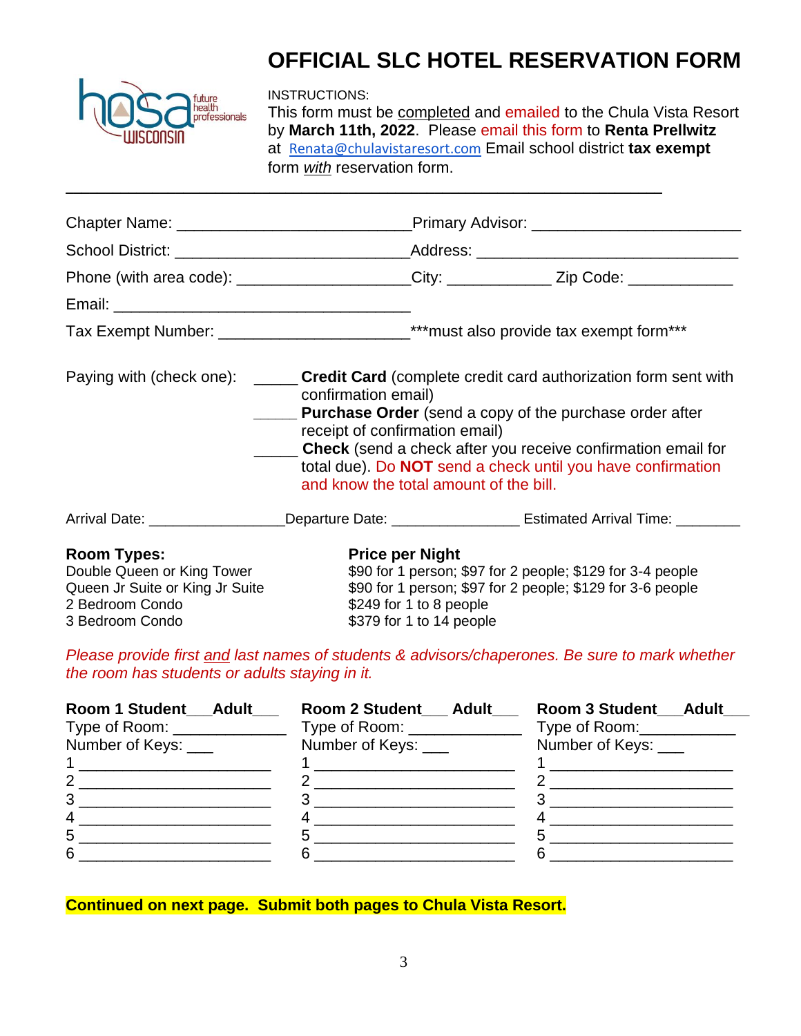

# **OFFICIAL SLC HOTEL RESERVATION FORM**

INSTRUCTIONS:

\_\_\_\_\_\_\_\_\_\_\_\_\_\_\_\_\_\_\_\_\_\_\_\_\_\_\_\_\_\_\_\_\_\_\_\_\_\_\_\_\_\_\_\_\_\_\_\_\_\_\_\_\_\_\_\_\_\_\_\_\_\_\_\_\_\_\_\_\_\_\_\_\_\_\_\_

This form must be completed and emailed to the Chula Vista Resort by **March 11th, 2022**. Please email this form to **Renta Prellwitz** at [Renata@chulavistaresort.com](mailto:Renata@chulavistaresort.com) Email school district **tax exempt**  form *with* reservation form.

|                                                                                                                           |                                                                                                                                                                                                                                                                                                                                                                                                                  |                                                                                                                                                                                                           | Phone (with area code): _____________________City: ____________Zip Code: ______________                        |  |
|---------------------------------------------------------------------------------------------------------------------------|------------------------------------------------------------------------------------------------------------------------------------------------------------------------------------------------------------------------------------------------------------------------------------------------------------------------------------------------------------------------------------------------------------------|-----------------------------------------------------------------------------------------------------------------------------------------------------------------------------------------------------------|----------------------------------------------------------------------------------------------------------------|--|
|                                                                                                                           |                                                                                                                                                                                                                                                                                                                                                                                                                  |                                                                                                                                                                                                           |                                                                                                                |  |
|                                                                                                                           | Tax Exempt Number: _______________________________***must also provide tax exempt form***                                                                                                                                                                                                                                                                                                                        |                                                                                                                                                                                                           |                                                                                                                |  |
|                                                                                                                           | Paying with (check one): ______ Credit Card (complete credit card authorization form sent with<br>confirmation email)<br><b>Purchase Order</b> (send a copy of the purchase order after<br>receipt of confirmation email)<br><b>Check</b> (send a check after you receive confirmation email for<br>total due). Do <b>NOT</b> send a check until you have confirmation<br>and know the total amount of the bill. |                                                                                                                                                                                                           |                                                                                                                |  |
|                                                                                                                           |                                                                                                                                                                                                                                                                                                                                                                                                                  |                                                                                                                                                                                                           | Arrival Date: ___________________Departure Date: ___________________________Estimated Arrival Time: __________ |  |
| <b>Room Types:</b><br>Double Queen or King Tower<br>Queen Jr Suite or King Jr Suite<br>2 Bedroom Condo<br>3 Bedroom Condo |                                                                                                                                                                                                                                                                                                                                                                                                                  | <b>Price per Night</b><br>\$90 for 1 person; \$97 for 2 people; \$129 for 3-4 people<br>\$90 for 1 person; \$97 for 2 people; \$129 for 3-6 people<br>\$249 for 1 to 8 people<br>\$379 for 1 to 14 people |                                                                                                                |  |

*Please provide first and last names of students & advisors/chaperones. Be sure to mark whether the room has students or adults staying in it.*

| Room 1 Student Adult         | Room 2 Student Adult          | Room 3 Student Adult        |
|------------------------------|-------------------------------|-----------------------------|
| Type of Room: ______________ | Type of Room: _______________ | Type of Room: Type of Room: |
| Number of Keys: ____         | Number of Keys: ___           | Number of Keys: ____        |
|                              |                               |                             |
|                              |                               |                             |
| 3                            |                               |                             |
| 4                            |                               |                             |
| 5                            |                               |                             |
| 6                            |                               |                             |

**Continued on next page. Submit both pages to Chula Vista Resort.**